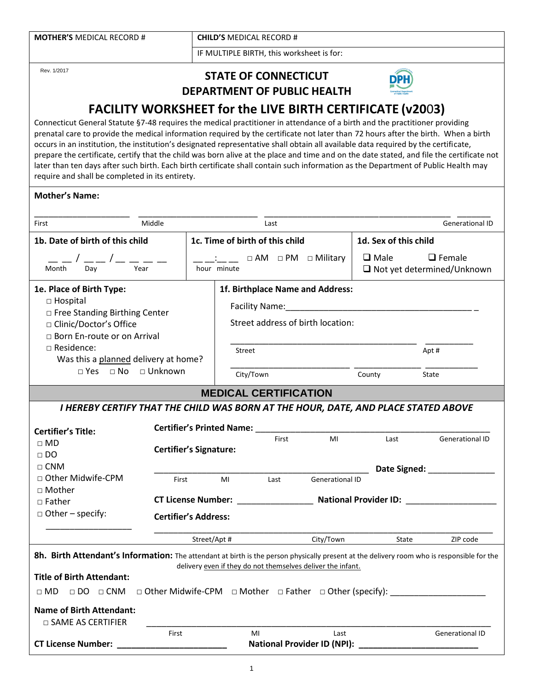| <b>MOTHER'S MEDICAL RECORD #</b> | <b>CHILD'S MEDICAL RECORD #</b>           |
|----------------------------------|-------------------------------------------|
|                                  | IF MULTIPLE BIRTH, this worksheet is for: |

Rev. 1/2017

## **STATE OF CONNECTICUT DEPARTMENT OF PUBLIC HEALTH**



# **FACILITY WORKSHEET for the LIVE BIRTH CERTIFICATE (v20**0**3)**

Connecticut General Statute §7-48 requires the medical practitioner in attendance of a birth and the practitioner providing prenatal care to provide the medical information required by the certificate not later than 72 hours after the birth. When a birth occurs in an institution, the institution's designated representative shall obtain all available data required by the certificate, prepare the certificate, certify that the child was born alive at the place and time and on the date stated, and file the certificate not later than ten days after such birth. Each birth certificate shall contain such information as the Department of Public Health may require and shall be completed in its entirety.

#### **Mother's Name:**

| First                                                                                                                                                                                                                                                                                                                                                                                                                  | Middle                          |                                                                                             | Last                         |                                                                      |       | <b>Generational ID</b>                                   |
|------------------------------------------------------------------------------------------------------------------------------------------------------------------------------------------------------------------------------------------------------------------------------------------------------------------------------------------------------------------------------------------------------------------------|---------------------------------|---------------------------------------------------------------------------------------------|------------------------------|----------------------------------------------------------------------|-------|----------------------------------------------------------|
| 1b. Date of birth of this child                                                                                                                                                                                                                                                                                                                                                                                        | 1c. Time of birth of this child |                                                                                             |                              | 1d. Sex of this child                                                |       |                                                          |
| Dav<br>Month                                                                                                                                                                                                                                                                                                                                                                                                           | Year                            | $\Box$ AM $\Box$ PM $\Box$ Military<br>hour minute                                          |                              | $\square$ Male<br>$\Box$ Female<br>$\Box$ Not yet determined/Unknown |       |                                                          |
| 1e. Place of Birth Type:<br>1f. Birthplace Name and Address:<br>$\Box$ Hospital<br>□ Free Standing Birthing Center<br>Street address of birth location:<br>□ Clinic/Doctor's Office<br>□ Born En-route or on Arrival<br>□ Residence:<br>Apt #<br>Street<br>Was this a planned delivery at home?<br>$\Box$ Yes $\Box$ No $\Box$ Unknown<br>County<br>City/Town                                                          |                                 |                                                                                             |                              |                                                                      | State |                                                          |
|                                                                                                                                                                                                                                                                                                                                                                                                                        |                                 |                                                                                             | <b>MEDICAL CERTIFICATION</b> |                                                                      |       |                                                          |
| I HEREBY CERTIFY THAT THE CHILD WAS BORN AT THE HOUR, DATE, AND PLACE STATED ABOVE                                                                                                                                                                                                                                                                                                                                     |                                 |                                                                                             |                              |                                                                      |       |                                                          |
| <b>Certifier's Title:</b><br>$\Box$ MD<br>$\Box$ DO                                                                                                                                                                                                                                                                                                                                                                    |                                 | <b>Certifier's Printed Name: Certifier's Printed Name:</b><br><b>Certifier's Signature:</b> | First                        | MI                                                                   | Last  | <b>Generational ID</b>                                   |
| $\Box$ CNM                                                                                                                                                                                                                                                                                                                                                                                                             |                                 |                                                                                             |                              |                                                                      |       | Date Signed: National Property of the Superior Section 1 |
| $\Box$ Other Midwife-CPM<br>□ Mother                                                                                                                                                                                                                                                                                                                                                                                   | First                           | MI                                                                                          | Last                         | <b>Generational ID</b>                                               |       |                                                          |
| $\Box$ Father                                                                                                                                                                                                                                                                                                                                                                                                          |                                 |                                                                                             |                              |                                                                      |       |                                                          |
| $\Box$ Other – specify:<br><b>Certifier's Address:</b>                                                                                                                                                                                                                                                                                                                                                                 |                                 |                                                                                             |                              |                                                                      |       |                                                          |
|                                                                                                                                                                                                                                                                                                                                                                                                                        |                                 | Street/Apt #                                                                                |                              | City/Town                                                            | State | ZIP code                                                 |
| 8h. Birth Attendant's Information: The attendant at birth is the person physically present at the delivery room who is responsible for the<br>delivery even if they do not themselves deliver the infant.<br><b>Title of Birth Attendant:</b><br>□ DO □ CNM □ Other Midwife-CPM □ Mother □ Father □ Other (specify): ___________________<br>$\sqcap$ MD<br><b>Name of Birth Attendant:</b><br>$\Box$ SAME AS CERTIFIER |                                 |                                                                                             |                              |                                                                      |       |                                                          |
| <b>CT License Number:</b>                                                                                                                                                                                                                                                                                                                                                                                              | First                           |                                                                                             | MI                           | Last<br>National Provider ID (NPI): National Provider ID (NPI):      |       | <b>Generational ID</b>                                   |
|                                                                                                                                                                                                                                                                                                                                                                                                                        |                                 |                                                                                             |                              |                                                                      |       |                                                          |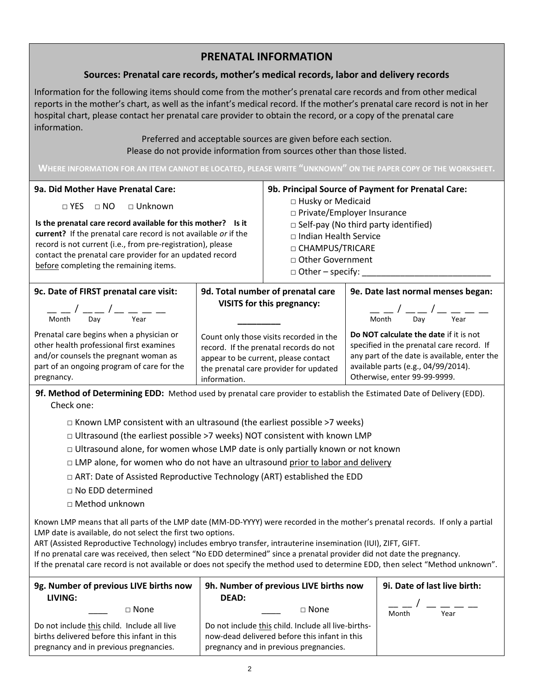## **PRENATAL INFORMATION**

### **Sources: Prenatal care records, mother's medical records, labor and delivery records**

Information for the following items should come from the mother's prenatal care records and from other medical reports in the mother's chart, as well as the infant's medical record. If the mother's prenatal care record is not in her hospital chart, please contact her prenatal care provider to obtain the record, or a copy of the prenatal care information.

> Preferred and acceptable sources are given before each section. Please do not provide information from sources other than those listed.

**WHERE INFORMATION FOR AN ITEM CANNOT BE LOCATED, PLEASE WRITE "UNKNOWN" ON THE PAPER COPY OF THE WORKSHEET.**

#### **9a. Did Mother Have Prenatal Care:** □ YES □ NO □ Unknown **Is the prenatal care record available for this mother? Is it current?** If the prenatal care record is not available *or* if the record is not current (i.e., from pre-registration), please contact the prenatal care provider for an updated record before completing the remaining items. **9b. Principal Source of Payment for Prenatal Care:**  □ Husky or Medicaid □ Private/Employer Insurance □ Self-pay (No third party identified) □ Indian Health Service □ CHAMPUS/TRICARE □ Other Government □ Other – specify: \_\_\_\_\_\_\_\_\_\_\_\_\_\_\_\_\_\_\_\_\_\_\_\_\_\_\_ **9c. Date of FIRST prenatal care visit:** \_\_ / \_\_ / \_ \_ \_ \_ Month Day Year Prenatal care begins when a physician or other health professional first examines and/or counsels the pregnant woman as part of an ongoing program of care for the pregnancy. **9d. Total number of prenatal care VISITS for this pregnancy: \_\_\_\_\_\_\_\_\_** Count only those visits recorded in the record. If the prenatal records do not appear to be current, please contact the prenatal care provider for updated information. **9e. Date last normal menses began:**  $/$   $/$   $-$  Month Day Year **Do NOT calculate the date** if it is not specified in the prenatal care record. If any part of the date is available, enter the available parts (e.g., 04/99/2014). Otherwise, enter 99-99-9999.

**9f. Method of Determining EDD:** Method used by prenatal care provider to establish the Estimated Date of Delivery (EDD). Check one:

- $\square$  Known LMP consistent with an ultrasound (the earliest possible >7 weeks)
- $\Box$  Ultrasound (the earliest possible >7 weeks) NOT consistent with known LMP
- $\Box$  Ultrasound alone, for women whose LMP date is only partially known or not known
- $\Box$  LMP alone, for women who do not have an ultrasound prior to labor and delivery
- □ ART: Date of Assisted Reproductive Technology (ART) established the EDD
- □ No EDD determined
- □ Method unknown

Known LMP means that all parts of the LMP date (MM-DD-YYYY) were recorded in the mother's prenatal records. If only a partial LMP date is available, do not select the first two options.

ART (Assisted Reproductive Technology) includes embryo transfer, intrauterine insemination (IUI), ZIFT, GIFT.

If no prenatal care was received, then select "No EDD determined" since a prenatal provider did not date the pregnancy. If the prenatal care record is not available or does not specify the method used to determine EDD, then select "Method unknown".

| 9g. Number of previous LIVE births now<br>LIVING:                                                                                    | 9h. Number of previous LIVE births now<br><b>DEAD:</b>                                                                                         | 9i. Date of last live birth: |  |
|--------------------------------------------------------------------------------------------------------------------------------------|------------------------------------------------------------------------------------------------------------------------------------------------|------------------------------|--|
| $\sqcap$ None                                                                                                                        | $\sqcap$ None                                                                                                                                  | $     -$<br>Month<br>Year    |  |
| Do not include this child. Include all live<br>births delivered before this infant in this<br>pregnancy and in previous pregnancies. | Do not include this child. Include all live-births-<br>now-dead delivered before this infant in this<br>pregnancy and in previous pregnancies. |                              |  |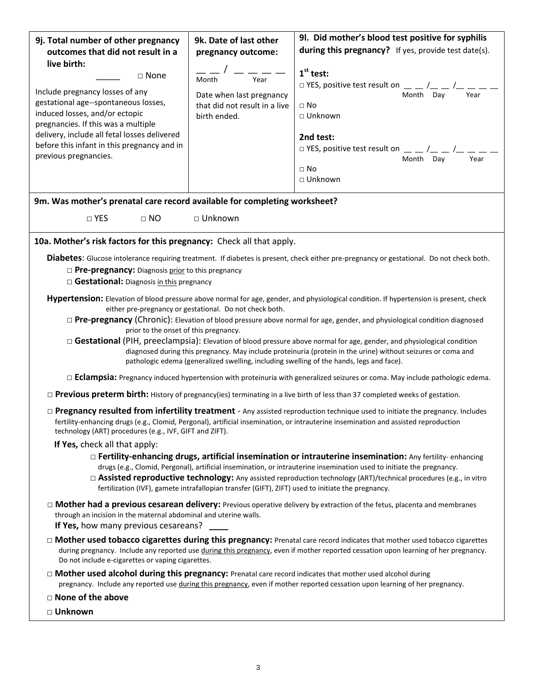| 9j. Total number of other pregnancy                                                                              | 9k. Date of last other                                                                                                                    | 9l. Did mother's blood test positive for syphilis                                                                                                                                                                                                                          |  |  |  |
|------------------------------------------------------------------------------------------------------------------|-------------------------------------------------------------------------------------------------------------------------------------------|----------------------------------------------------------------------------------------------------------------------------------------------------------------------------------------------------------------------------------------------------------------------------|--|--|--|
| outcomes that did not result in a                                                                                | pregnancy outcome:                                                                                                                        | during this pregnancy? If yes, provide test date(s).                                                                                                                                                                                                                       |  |  |  |
| live birth:                                                                                                      |                                                                                                                                           | $1st$ test:                                                                                                                                                                                                                                                                |  |  |  |
| $\Box$ None                                                                                                      | Year<br>Month                                                                                                                             | $\Box$ YES, positive test result on $\Box$ $\Box$ / $\Box$ $\Box$                                                                                                                                                                                                          |  |  |  |
| Include pregnancy losses of any                                                                                  | Date when last pregnancy                                                                                                                  | Month Day<br>Year                                                                                                                                                                                                                                                          |  |  |  |
| gestational age--spontaneous losses,<br>induced losses, and/or ectopic                                           | that did not result in a live                                                                                                             | $\Box$ No                                                                                                                                                                                                                                                                  |  |  |  |
| pregnancies. If this was a multiple                                                                              | birth ended.                                                                                                                              | □ Unknown                                                                                                                                                                                                                                                                  |  |  |  |
| delivery, include all fetal losses delivered                                                                     |                                                                                                                                           | 2nd test:                                                                                                                                                                                                                                                                  |  |  |  |
| before this infant in this pregnancy and in                                                                      |                                                                                                                                           | $\Box$ YES, positive test result on $\Box$ $\Box$ / $\Box$ / $\Box$                                                                                                                                                                                                        |  |  |  |
| previous pregnancies.                                                                                            |                                                                                                                                           | Month Day<br>Year                                                                                                                                                                                                                                                          |  |  |  |
|                                                                                                                  |                                                                                                                                           | $\Box$ No<br>□ Unknown                                                                                                                                                                                                                                                     |  |  |  |
|                                                                                                                  |                                                                                                                                           |                                                                                                                                                                                                                                                                            |  |  |  |
| 9m. Was mother's prenatal care record available for completing worksheet?                                        |                                                                                                                                           |                                                                                                                                                                                                                                                                            |  |  |  |
| $\square$ YES<br>$\Box$ NO                                                                                       | □ Unknown                                                                                                                                 |                                                                                                                                                                                                                                                                            |  |  |  |
|                                                                                                                  |                                                                                                                                           |                                                                                                                                                                                                                                                                            |  |  |  |
| 10a. Mother's risk factors for this pregnancy: Check all that apply.                                             |                                                                                                                                           |                                                                                                                                                                                                                                                                            |  |  |  |
|                                                                                                                  |                                                                                                                                           | Diabetes: Glucose intolerance requiring treatment. If diabetes is present, check either pre-pregnancy or gestational. Do not check both.                                                                                                                                   |  |  |  |
| $\Box$ Pre-pregnancy: Diagnosis prior to this pregnancy                                                          |                                                                                                                                           |                                                                                                                                                                                                                                                                            |  |  |  |
| $\Box$ Gestational: Diagnosis in this pregnancy                                                                  |                                                                                                                                           |                                                                                                                                                                                                                                                                            |  |  |  |
|                                                                                                                  |                                                                                                                                           | Hypertension: Elevation of blood pressure above normal for age, gender, and physiological condition. If hypertension is present, check                                                                                                                                     |  |  |  |
|                                                                                                                  | either pre-pregnancy or gestational. Do not check both.                                                                                   |                                                                                                                                                                                                                                                                            |  |  |  |
| prior to the onset of this pregnancy.                                                                            |                                                                                                                                           | $\Box$ <b>Pre-pregnancy</b> (Chronic): Elevation of blood pressure above normal for age, gender, and physiological condition diagnosed                                                                                                                                     |  |  |  |
|                                                                                                                  |                                                                                                                                           | $\Box$ Gestational (PIH, preeclampsia): Elevation of blood pressure above normal for age, gender, and physiological condition                                                                                                                                              |  |  |  |
|                                                                                                                  |                                                                                                                                           | diagnosed during this pregnancy. May include proteinuria (protein in the urine) without seizures or coma and                                                                                                                                                               |  |  |  |
|                                                                                                                  |                                                                                                                                           | pathologic edema (generalized swelling, including swelling of the hands, legs and face).                                                                                                                                                                                   |  |  |  |
|                                                                                                                  |                                                                                                                                           | $\Box$ <b>Eclampsia:</b> Pregnancy induced hypertension with proteinuria with generalized seizures or coma. May include pathologic edema.                                                                                                                                  |  |  |  |
|                                                                                                                  | $\Box$ <b>Previous preterm birth:</b> History of pregnancy(ies) terminating in a live birth of less than 37 completed weeks of gestation. |                                                                                                                                                                                                                                                                            |  |  |  |
| technology (ART) procedures (e.g., IVF, GIFT and ZIFT).                                                          |                                                                                                                                           | $\Box$ Pregnancy resulted from infertility treatment - Any assisted reproduction technique used to initiate the pregnancy. Includes<br>fertility-enhancing drugs (e.g., Clomid, Pergonal), artificial insemination, or intrauterine insemination and assisted reproduction |  |  |  |
| If Yes, check all that apply:                                                                                    |                                                                                                                                           |                                                                                                                                                                                                                                                                            |  |  |  |
|                                                                                                                  |                                                                                                                                           | $\Box$ Fertility-enhancing drugs, artificial insemination or intrauterine insemination: Any fertility-enhancing                                                                                                                                                            |  |  |  |
|                                                                                                                  |                                                                                                                                           | drugs (e.g., Clomid, Pergonal), artificial insemination, or intrauterine insemination used to initiate the pregnancy.                                                                                                                                                      |  |  |  |
|                                                                                                                  | fertilization (IVF), gamete intrafallopian transfer (GIFT), ZIFT) used to initiate the pregnancy.                                         | □ Assisted reproductive technology: Any assisted reproduction technology (ART)/technical procedures (e.g., in vitro                                                                                                                                                        |  |  |  |
|                                                                                                                  |                                                                                                                                           | $\Box$ Mother had a previous cesarean delivery: Previous operative delivery by extraction of the fetus, placenta and membranes                                                                                                                                             |  |  |  |
| through an incision in the maternal abdominal and uterine walls.                                                 |                                                                                                                                           |                                                                                                                                                                                                                                                                            |  |  |  |
| If Yes, how many previous cesareans?                                                                             |                                                                                                                                           |                                                                                                                                                                                                                                                                            |  |  |  |
| Do not include e-cigarettes or vaping cigarettes.                                                                |                                                                                                                                           | □ Mother used tobacco cigarettes during this pregnancy: Prenatal care record indicates that mother used tobacco cigarettes<br>during pregnancy. Include any reported use during this pregnancy, even if mother reported cessation upon learning of her pregnancy.          |  |  |  |
| $\Box$ Mother used alcohol during this pregnancy: Prenatal care record indicates that mother used alcohol during |                                                                                                                                           | pregnancy. Include any reported use during this pregnancy, even if mother reported cessation upon learning of her pregnancy.                                                                                                                                               |  |  |  |
| $\Box$ None of the above                                                                                         |                                                                                                                                           |                                                                                                                                                                                                                                                                            |  |  |  |
| □ Unknown                                                                                                        |                                                                                                                                           |                                                                                                                                                                                                                                                                            |  |  |  |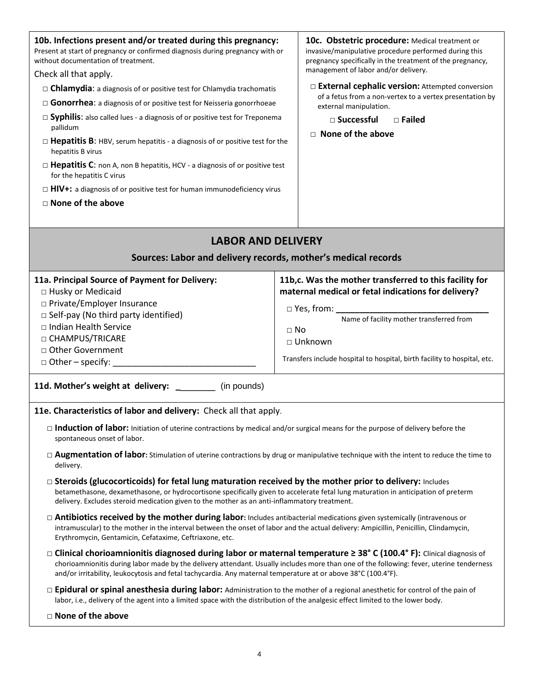| 10b. Infections present and/or treated during this pregnancy:<br>Present at start of pregnancy or confirmed diagnosis during pregnancy with or<br>without documentation of treatment.<br>Check all that apply.                                                                                                                                                                         |           | 10c. Obstetric procedure: Medical treatment or<br>invasive/manipulative procedure performed during this<br>pregnancy specifically in the treatment of the pregnancy,<br>management of labor and/or delivery. |  |  |
|----------------------------------------------------------------------------------------------------------------------------------------------------------------------------------------------------------------------------------------------------------------------------------------------------------------------------------------------------------------------------------------|-----------|--------------------------------------------------------------------------------------------------------------------------------------------------------------------------------------------------------------|--|--|
|                                                                                                                                                                                                                                                                                                                                                                                        |           | □ External cephalic version: Attempted conversion                                                                                                                                                            |  |  |
| $\Box$ <b>Chlamydia:</b> a diagnosis of or positive test for Chlamydia trachomatis<br>$\Box$ Gonorrhea: a diagnosis of or positive test for Neisseria gonorrhoeae                                                                                                                                                                                                                      |           | of a fetus from a non-vertex to a vertex presentation by<br>external manipulation.                                                                                                                           |  |  |
| $\Box$ Syphilis: also called lues - a diagnosis of or positive test for Treponema                                                                                                                                                                                                                                                                                                      |           | $\square$ Successful<br>$\Box$ Failed                                                                                                                                                                        |  |  |
| pallidum                                                                                                                                                                                                                                                                                                                                                                               |           | $\Box$ None of the above                                                                                                                                                                                     |  |  |
| $\Box$ Hepatitis B: HBV, serum hepatitis - a diagnosis of or positive test for the<br>hepatitis B virus                                                                                                                                                                                                                                                                                |           |                                                                                                                                                                                                              |  |  |
| $\Box$ Hepatitis C: non A, non B hepatitis, HCV - a diagnosis of or positive test<br>for the hepatitis C virus                                                                                                                                                                                                                                                                         |           |                                                                                                                                                                                                              |  |  |
| $\Box$ HIV+: a diagnosis of or positive test for human immunodeficiency virus                                                                                                                                                                                                                                                                                                          |           |                                                                                                                                                                                                              |  |  |
| $\Box$ None of the above                                                                                                                                                                                                                                                                                                                                                               |           |                                                                                                                                                                                                              |  |  |
|                                                                                                                                                                                                                                                                                                                                                                                        |           |                                                                                                                                                                                                              |  |  |
| <b>LABOR AND DELIVERY</b>                                                                                                                                                                                                                                                                                                                                                              |           |                                                                                                                                                                                                              |  |  |
|                                                                                                                                                                                                                                                                                                                                                                                        |           |                                                                                                                                                                                                              |  |  |
| Sources: Labor and delivery records, mother's medical records                                                                                                                                                                                                                                                                                                                          |           |                                                                                                                                                                                                              |  |  |
| 11a. Principal Source of Payment for Delivery:                                                                                                                                                                                                                                                                                                                                         |           | 11b,c. Was the mother transferred to this facility for                                                                                                                                                       |  |  |
| □ Husky or Medicaid                                                                                                                                                                                                                                                                                                                                                                    |           | maternal medical or fetal indications for delivery?                                                                                                                                                          |  |  |
| □ Private/Employer Insurance                                                                                                                                                                                                                                                                                                                                                           |           |                                                                                                                                                                                                              |  |  |
| $\Box$ Self-pay (No third party identified)                                                                                                                                                                                                                                                                                                                                            |           | Name of facility mother transferred from                                                                                                                                                                     |  |  |
| □ Indian Health Service                                                                                                                                                                                                                                                                                                                                                                | $\Box$ No |                                                                                                                                                                                                              |  |  |
| □ CHAMPUS/TRICARE                                                                                                                                                                                                                                                                                                                                                                      |           | □ Unknown                                                                                                                                                                                                    |  |  |
| □ Other Government                                                                                                                                                                                                                                                                                                                                                                     |           |                                                                                                                                                                                                              |  |  |
| $\Box$ Other – specify: _                                                                                                                                                                                                                                                                                                                                                              |           | Transfers include hospital to hospital, birth facility to hospital, etc.                                                                                                                                     |  |  |
| 11d. Mother's weight at delivery: _______<br>(in pounds)                                                                                                                                                                                                                                                                                                                               |           |                                                                                                                                                                                                              |  |  |
| 11e. Characteristics of labor and delivery: Check all that apply.                                                                                                                                                                                                                                                                                                                      |           |                                                                                                                                                                                                              |  |  |
| $\Box$ Induction of labor: Initiation of uterine contractions by medical and/or surgical means for the purpose of delivery before the<br>spontaneous onset of labor.                                                                                                                                                                                                                   |           |                                                                                                                                                                                                              |  |  |
| $\Box$ <b>Augmentation of labor:</b> Stimulation of uterine contractions by drug or manipulative technique with the intent to reduce the time to<br>delivery.                                                                                                                                                                                                                          |           |                                                                                                                                                                                                              |  |  |
| $\Box$ Steroids (glucocorticoids) for fetal lung maturation received by the mother prior to delivery: Includes<br>betamethasone, dexamethasone, or hydrocortisone specifically given to accelerate fetal lung maturation in anticipation of preterm<br>delivery. Excludes steroid medication given to the mother as an anti-inflammatory treatment.                                    |           |                                                                                                                                                                                                              |  |  |
| $\Box$ Antibiotics received by the mother during labor: Includes antibacterial medications given systemically (intravenous or<br>intramuscular) to the mother in the interval between the onset of labor and the actual delivery: Ampicillin, Penicillin, Clindamycin,<br>Erythromycin, Gentamicin, Cefataxime, Ceftriaxone, etc.                                                      |           |                                                                                                                                                                                                              |  |  |
| □ Clinical chorioamnionitis diagnosed during labor or maternal temperature $\geq$ 38° C (100.4° F): Clinical diagnosis of<br>chorioamnionitis during labor made by the delivery attendant. Usually includes more than one of the following: fever, uterine tenderness<br>and/or irritability, leukocytosis and fetal tachycardia. Any maternal temperature at or above 38°C (100.4°F). |           |                                                                                                                                                                                                              |  |  |
| □ Epidural or spinal anesthesia during labor: Administration to the mother of a regional anesthetic for control of the pain of<br>labor, i.e., delivery of the agent into a limited space with the distribution of the analgesic effect limited to the lower body.                                                                                                                     |           |                                                                                                                                                                                                              |  |  |

□ **None of the above**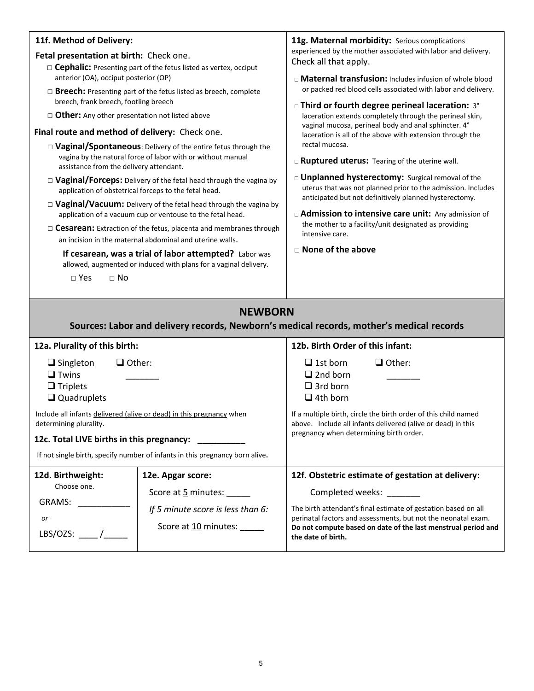| 11f. Method of Delivery:                                                                                                             |                                                                                                                                       | 11g. Maternal morbidity: Serious complications                                                                                  |  |  |
|--------------------------------------------------------------------------------------------------------------------------------------|---------------------------------------------------------------------------------------------------------------------------------------|---------------------------------------------------------------------------------------------------------------------------------|--|--|
| Fetal presentation at birth: Check one.                                                                                              |                                                                                                                                       | experienced by the mother associated with labor and delivery.<br>Check all that apply.                                          |  |  |
| $\Box$ <b>Cephalic:</b> Presenting part of the fetus listed as vertex, occiput<br>anterior (OA), occiput posterior (OP)              |                                                                                                                                       |                                                                                                                                 |  |  |
|                                                                                                                                      |                                                                                                                                       | □ Maternal transfusion: Includes infusion of whole blood<br>or packed red blood cells associated with labor and delivery.       |  |  |
| $\Box$ <b>Breech:</b> Presenting part of the fetus listed as breech, complete<br>breech, frank breech, footling breech               |                                                                                                                                       | □ Third or fourth degree perineal laceration: 3°                                                                                |  |  |
| $\Box$ Other: Any other presentation not listed above                                                                                |                                                                                                                                       | laceration extends completely through the perineal skin,                                                                        |  |  |
| Final route and method of delivery: Check one.                                                                                       |                                                                                                                                       | vaginal mucosa, perineal body and anal sphincter. 4°<br>laceration is all of the above with extension through the               |  |  |
|                                                                                                                                      | $\Box$ Vaginal/Spontaneous: Delivery of the entire fetus through the                                                                  | rectal mucosa.                                                                                                                  |  |  |
| assistance from the delivery attendant.                                                                                              | vagina by the natural force of labor with or without manual                                                                           | □ Ruptured uterus: Tearing of the uterine wall.                                                                                 |  |  |
| $\Box$ Vaginal/Forceps: Delivery of the fetal head through the vagina by                                                             |                                                                                                                                       | □ Unplanned hysterectomy: Surgical removal of the                                                                               |  |  |
|                                                                                                                                      | application of obstetrical forceps to the fetal head.                                                                                 | uterus that was not planned prior to the admission. Includes<br>anticipated but not definitively planned hysterectomy.          |  |  |
|                                                                                                                                      | $\Box$ Vaginal/Vacuum: Delivery of the fetal head through the vagina by<br>application of a vacuum cup or ventouse to the fetal head. | □ Admission to intensive care unit: Any admission of                                                                            |  |  |
|                                                                                                                                      |                                                                                                                                       | the mother to a facility/unit designated as providing                                                                           |  |  |
| $\Box$ Cesarean: Extraction of the fetus, placenta and membranes through<br>an incision in the maternal abdominal and uterine walls. |                                                                                                                                       | intensive care.                                                                                                                 |  |  |
| If cesarean, was a trial of labor attempted? Labor was<br>allowed, augmented or induced with plans for a vaginal delivery.           |                                                                                                                                       | $\Box$ None of the above                                                                                                        |  |  |
| $\square$ Yes<br>$\Box$ No                                                                                                           |                                                                                                                                       |                                                                                                                                 |  |  |
|                                                                                                                                      |                                                                                                                                       |                                                                                                                                 |  |  |
|                                                                                                                                      |                                                                                                                                       |                                                                                                                                 |  |  |
|                                                                                                                                      |                                                                                                                                       |                                                                                                                                 |  |  |
|                                                                                                                                      | <b>NEWBORN</b>                                                                                                                        |                                                                                                                                 |  |  |
|                                                                                                                                      |                                                                                                                                       | Sources: Labor and delivery records, Newborn's medical records, mother's medical records                                        |  |  |
| 12a. Plurality of this birth:                                                                                                        |                                                                                                                                       | 12b. Birth Order of this infant:                                                                                                |  |  |
| $\Box$ Other:<br>$\Box$ Singleton                                                                                                    |                                                                                                                                       | $\Box$ Other:<br>$\Box$ 1st born                                                                                                |  |  |
| $\Box$ Twins                                                                                                                         |                                                                                                                                       | $\Box$ 2nd born                                                                                                                 |  |  |
| $\Box$ Triplets                                                                                                                      |                                                                                                                                       | $\Box$ 3rd born                                                                                                                 |  |  |
| $\Box$ Quadruplets                                                                                                                   |                                                                                                                                       | $\Box$ 4th born                                                                                                                 |  |  |
| determining plurality.                                                                                                               | Include all infants delivered (alive or dead) in this pregnancy when                                                                  | If a multiple birth, circle the birth order of this child named<br>above. Include all infants delivered (alive or dead) in this |  |  |
| 12c. Total LIVE births in this pregnancy:                                                                                            |                                                                                                                                       | pregnancy when determining birth order.                                                                                         |  |  |
|                                                                                                                                      | If not single birth, specify number of infants in this pregnancy born alive.                                                          |                                                                                                                                 |  |  |
| 12d. Birthweight:                                                                                                                    | 12e. Apgar score:                                                                                                                     | 12f. Obstetric estimate of gestation at delivery:                                                                               |  |  |
| Choose one.                                                                                                                          | Score at 5 minutes:                                                                                                                   | Completed weeks: ______                                                                                                         |  |  |
| GRAMS:                                                                                                                               |                                                                                                                                       | The birth attendant's final estimate of gestation based on all                                                                  |  |  |
| or                                                                                                                                   | If 5 minute score is less than 6:                                                                                                     | perinatal factors and assessments, but not the neonatal exam.                                                                   |  |  |
| LBS/OZS: $\frac{1}{2}$                                                                                                               | Score at 10 minutes: _____                                                                                                            | Do not compute based on date of the last menstrual period and<br>the date of birth.                                             |  |  |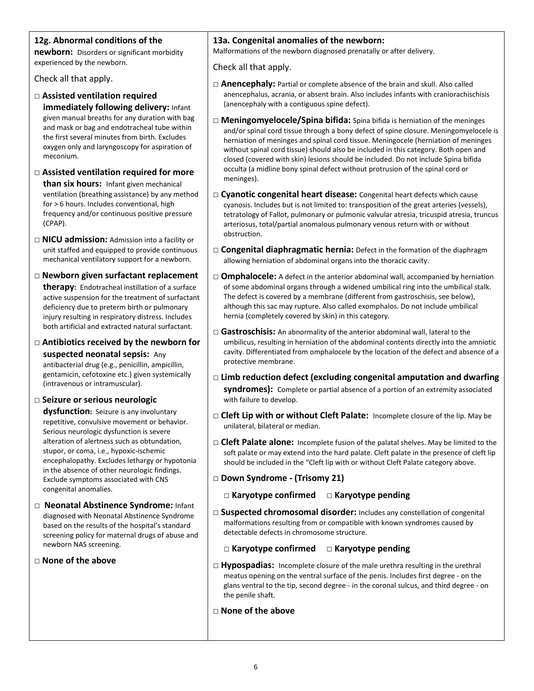#### **12g. Abnormal conditions of the**

**newborn:** Disorders or significant morbidity experienced by the newborn.

Check all that apply.

- □ **Assisted ventilation required immediately following delivery:** Infant given manual breaths for any duration with bag and mask or bag and endotracheal tube within the first several minutes from birth. Excludes oxygen only and laryngoscopy for aspiration of meconium.
- □ **Assisted ventilation required for more than six hours:** Infant given mechanical ventilation (breathing assistance) by any method for > 6 hours. Includes conventional, high frequency and/or continuous positive pressure (CPAP).
- □ **NICU admission:** Admission into a facility or unit staffed and equipped to provide continuous mechanical ventilatory support for a newborn.
- □ **Newborn given surfactant replacement therapy:** Endotracheal instillation of a surface active suspension for the treatment of surfactant deficiency due to preterm birth or pulmonary injury resulting in respiratory distress. Includes both artificial and extracted natural surfactant.
- □ **Antibiotics received by the newborn for suspected neonatal sepsis:** Any antibacterial drug (e.g., penicillin, ampicillin, gentamicin, cefotoxine etc.) given systemically (intravenous or intramuscular).
- □ **Seizure or serious neurologic**

**dysfunction:** Seizure is any involuntary repetitive, convulsive movement or behavior. Serious neurologic dysfunction is severe alteration of alertness such as obtundation, stupor, or coma, i.e., hypoxic-ischemic encephalopathy. Excludes lethargy or hypotonia in the absence of other neurologic findings. Exclude symptoms associated with CNS congenital anomalies.

- □ **Neonatal Abstinence Syndrome:** Infant diagnosed with Neonatal Abstinence Syndrome based on the results of the hospital's standard screening policy for maternal drugs of abuse and newborn NAS screening.
- □ **None of the above**

#### **13a. Congenital anomalies of the newborn:**

Malformations of the newborn diagnosed prenatally or after delivery.

Check all that apply.

- □ **Anencephaly:** Partial or complete absence of the brain and skull. Also called anencephalus, acrania, or absent brain. Also includes infants with craniorachischisis (anencephaly with a contiguous spine defect).
- □ **Meningomyelocele/Spina bifida:** Spina bifida is herniation of the meninges and/or spinal cord tissue through a bony defect of spine closure. Meningomyelocele is herniation of meninges and spinal cord tissue. Meningocele (herniation of meninges without spinal cord tissue) should also be included in this category. Both open and closed (covered with skin) lesions should be included. Do not include Spina bifida occulta (a midline bony spinal defect without protrusion of the spinal cord or meninges).
- □ **Cyanotic congenital heart disease:** Congenital heart defects which cause cyanosis. Includes but is not limited to: transposition of the great arteries (vessels), tetratology of Fallot, pulmonary or pulmonic valvular atresia, tricuspid atresia, truncus arteriosus, total/partial anomalous pulmonary venous return with or without obstruction.
- □ **Congenital diaphragmatic hernia:** Defect in the formation of the diaphragm allowing herniation of abdominal organs into the thoracic cavity.
- $\Box$  **Omphalocele:** A defect in the anterior abdominal wall, accompanied by herniation of some abdominal organs through a widened umbilical ring into the umbilical stalk. The defect is covered by a membrane (different from gastroschisis, see below), although this sac may rupture. Also called exomphalos. Do not include umbilical hernia (completely covered by skin) in this category.
- □ Gastroschisis: An abnormality of the anterior abdominal wall, lateral to the umbilicus, resulting in herniation of the abdominal contents directly into the amniotic cavity. Differentiated from omphalocele by the location of the defect and absence of a protective membrane.
- □ **Limb reduction defect (excluding congenital amputation and dwarfing syndromes):** Complete or partial absence of a portion of an extremity associated with failure to develop.
- □ **Cleft Lip with or without Cleft Palate:** Incomplete closure of the lip. May be unilateral, bilateral or median.
- □ **Cleft Palate alone:** Incomplete fusion of the palatal shelves. May be limited to the soft palate or may extend into the hard palate. Cleft palate in the presence of cleft lip should be included in the "Cleft lip with or without Cleft Palate category above.
- □ **Down Syndrome - (Trisomy 21)**
	- **□ Karyotype confirmed □ Karyotype pending**
- □ **Suspected chromosomal disorder:** Includes any constellation of congenital malformations resulting from or compatible with known syndromes caused by detectable defects in chromosome structure.
	- **□ Karyotype confirmed □ Karyotype pending**
- □ Hypospadias: Incomplete closure of the male urethra resulting in the urethral meatus opening on the ventral surface of the penis. Includes first degree - on the glans ventral to the tip, second degree - in the coronal sulcus, and third degree - on the penile shaft.
- □ **None of the above**